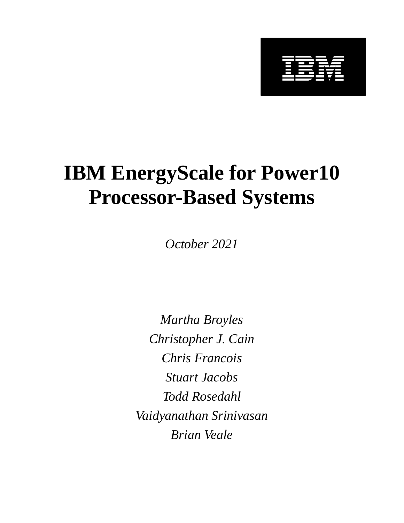

# **IBM EnergyScale for Power10 Processor-Based Systems**

*October 2021*

*Martha Broyles Christopher J. Cain Chris Francois Stuart Jacobs Todd Rosedahl Vaidyanathan Srinivasan Brian Veale*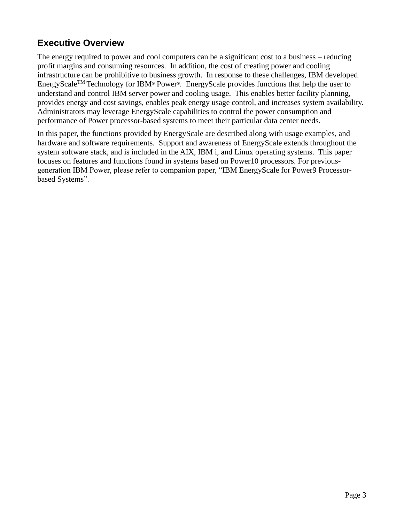## **Executive Overview**

The energy required to power and cool computers can be a significant cost to a business – reducing profit margins and consuming resources. In addition, the cost of creating power and cooling infrastructure can be prohibitive to business growth. In response to these challenges, IBM developed EnergyScale<sup>TM</sup> Technology for IBM® Power®. EnergyScale provides functions that help the user to understand and control IBM server power and cooling usage. This enables better facility planning, provides energy and cost savings, enables peak energy usage control, and increases system availability. Administrators may leverage EnergyScale capabilities to control the power consumption and performance of Power processor-based systems to meet their particular data center needs.

In this paper, the functions provided by EnergyScale are described along with usage examples, and hardware and software requirements. Support and awareness of EnergyScale extends throughout the system software stack, and is included in the AIX, IBM i, and Linux operating systems. This paper focuses on features and functions found in systems based on Power10 processors. For previousgeneration IBM Power, please refer to companion paper, ["IBM EnergyScale for Power9 Processor](https://www.ibm.com/downloads/cas/6GZMODN3?mhsrc=ibmsearch_a&mhq=EnergyScale)[based Systems"](https://www.ibm.com/downloads/cas/6GZMODN3?mhsrc=ibmsearch_a&mhq=EnergyScale).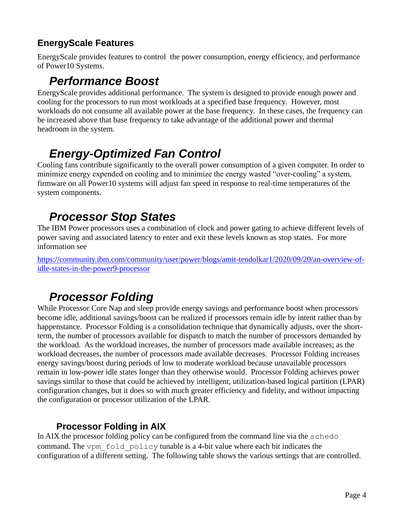## **EnergyScale Features**

EnergyScale provides features to control the power consumption, energy efficiency, and performance of Power10 Systems.

## *Performance Boost*

EnergyScale provides additional performance. The system is designed to provide enough power and cooling for the processors to run most workloads at a specified base frequency. However, most workloads do not consume all available power at the base frequency. In these cases, the frequency can be increased above that base frequency to take advantage of the additional power and thermal headroom in the system.

## *Energy-Optimized Fan Control*

Cooling fans contribute significantly to the overall power consumption of a given computer. In order to minimize energy expended on cooling and to minimize the energy wasted "over-cooling" a system, firmware on all Power10 systems will adjust fan speed in response to real-time temperatures of the system components.

## *Processor Stop States*

The IBM Power processors uses a combination of clock and power gating to achieve different levels of power saving and associated latency to enter and exit these levels known as stop states. For more information see

[https://community.ibm.com/community/user/power/blogs/amit-tendolkar1/2020/09/20/an-overview-of](https://community.ibm.com/community/user/power/blogs/amit-tendolkar1/2020/09/20/an-overview-of-idle-states-in-the-power9-processor)[idle-states-in-the-power9-processor](https://community.ibm.com/community/user/power/blogs/amit-tendolkar1/2020/09/20/an-overview-of-idle-states-in-the-power9-processor)

## *Processor Folding*

While Processor Core Nap and sleep provide energy savings and performance boost when processors become idle, additional savings/boost can be realized if processors remain idle by intent rather than by happenstance. Processor Folding is a consolidation technique that dynamically adjusts, over the shortterm, the number of processors available for dispatch to match the number of processors demanded by the workload. As the workload increases, the number of processors made available increases; as the workload decreases, the number of processors made available decreases. Processor Folding increases energy savings/boost during periods of low to moderate workload because unavailable processors remain in low-power idle states longer than they otherwise would. Processor Folding achieves power savings similar to those that could be achieved by intelligent, utilization-based logical partition (LPAR) configuration changes, but it does so with much greater efficiency and fidelity, and without impacting the configuration or processor utilization of the LPAR.

## **Processor Folding in AIX**

In AIX the processor folding policy can be configured from the command line via the schedo command. The vpm fold policy tunable is a 4-bit value where each bit indicates the configuration of a different setting. The following table shows the various settings that are controlled.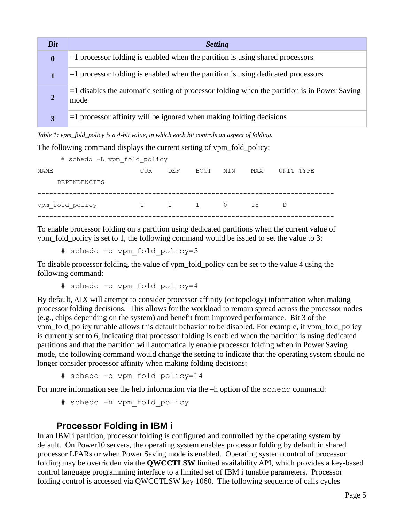| <b>Bit</b>       | <b>Setting</b>                                                                                          |
|------------------|---------------------------------------------------------------------------------------------------------|
| $\boldsymbol{0}$ | $=$ 1 processor folding is enabled when the partition is using shared processors                        |
|                  | $=$ 1 processor folding is enabled when the partition is using dedicated processors                     |
|                  | $=$ 1 disables the automatic setting of processor folding when the partition is in Power Saving<br>mode |
| 3                | $=$ 1 processor affinity will be ignored when making folding decisions                                  |

*Table 1: vpm\_fold\_policy is a 4-bit value, in which each bit controls an aspect of folding.* 

The following command displays the current setting of vpm fold policy:

|      | # schedo -L vpm fold policy |                                |     |      |     |     |           |
|------|-----------------------------|--------------------------------|-----|------|-----|-----|-----------|
| NAME |                             | <b>CUR</b>                     | DEF | BOOT | MIN | MAX | UNIT TYPE |
|      | DEPENDENCIES                |                                |     |      |     |     |           |
|      | vpm fold policy             | $1 \qquad 1 \qquad 1 \qquad 0$ |     |      |     | 1.5 | D         |
|      |                             |                                |     |      |     |     |           |

To enable processor folding on a partition using dedicated partitions when the current value of vpm fold policy is set to 1, the following command would be issued to set the value to 3:

# schedo -o vpm\_fold\_policy=3

To disable processor folding, the value of vpm\_fold\_policy can be set to the value 4 using the following command:

# schedo -o vpm fold policy=4

By default, AIX will attempt to consider processor affinity (or topology) information when making processor folding decisions. This allows for the workload to remain spread across the processor nodes (e.g., chips depending on the system) and benefit from improved performance. Bit 3 of the vpm\_fold\_policy tunable allows this default behavior to be disabled. For example, if vpm\_fold\_policy is currently set to 6, indicating that processor folding is enabled when the partition is using dedicated partitions and that the partition will automatically enable processor folding when in Power Saving mode, the following command would change the setting to indicate that the operating system should no longer consider processor affinity when making folding decisions:

# schedo -o vpm fold policy=14

For more information see the help information via the –h option of the schedo command:

```
# schedo -h vpm_fold_policy
```
#### **Processor Folding in IBM i**

In an IBM i partition, processor folding is configured and controlled by the operating system by default. On Power10 servers, the operating system enables processor folding by default in shared processor LPARs or when Power Saving mode is enabled. Operating system control of processor folding may be overridden via the **QWCCTLSW** limited availability API, which provides a key-based control language programming interface to a limited set of IBM i tunable parameters. Processor folding control is accessed via QWCCTLSW key 1060. The following sequence of calls cycles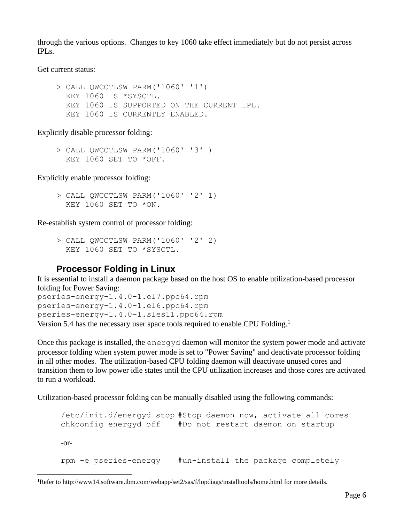through the various options. Changes to key 1060 take effect immediately but do not persist across IPLs.

Get current status:

```
 > CALL QWCCTLSW PARM('1060' '1') 
   KEY 1060 IS *SYSCTL. 
   KEY 1060 IS SUPPORTED ON THE CURRENT IPL. 
   KEY 1060 IS CURRENTLY ENABLED.
```
Explicitly disable processor folding:

 > CALL QWCCTLSW PARM('1060' '3' ) KEY 1060 SET TO \*OFF.

Explicitly enable processor folding:

 > CALL QWCCTLSW PARM('1060' '2' 1) KEY 1060 SET TO \*ON.

Re-establish system control of processor folding:

 > CALL QWCCTLSW PARM('1060' '2' 2) KEY 1060 SET TO \*SYSCTL.

### **Processor Folding in Linux**

It is essential to install a daemon package based on the host OS to enable utilization-based processor folding for Power Saving:

pseries-energy-1.4.0-1.el7.ppc64.rpm pseries-energy-1.4.0-1.el6.ppc64.rpm pseries-energy-1.4.0-1.sles11.ppc64.rpm Version 5.4 has the necessary user space tools required to enable CPU Folding.<sup>1</sup>

Once this package is installed, the energyd daemon will monitor the system power mode and activate processor folding when system power mode is set to "Power Saving" and deactivate processor folding in all other modes. The utilization-based CPU folding daemon will deactivate unused cores and transition them to low power idle states until the CPU utilization increases and those cores are activated to run a workload.

Utilization-based processor folding can be manually disabled using the following commands:

```
/etc/init.d/energyd stop #Stop daemon now, activate all cores
chkconfig energyd off #Do not restart daemon on startup
-or-
rpm -e pseries-energy #un-install the package completely
```
<sup>1</sup>Refer to<http://www14.software.ibm.com/webapp/set2/sas/f/lopdiags/installtools/home.html> for more details.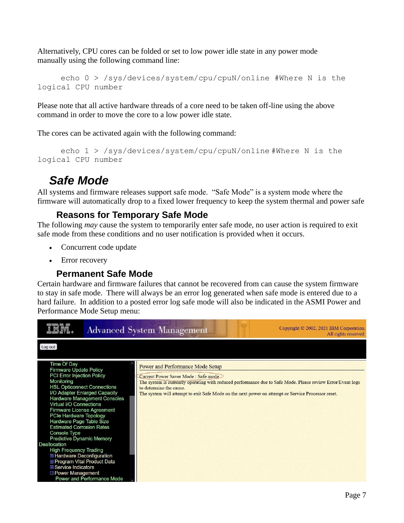Alternatively, CPU cores can be folded or set to low power idle state in any power mode manually using the following command line:

```
echo 0 > /sys/devices/system/cpu/cpuN/online #Where N is the 
logical CPU number
```
Please note that all active hardware threads of a core need to be taken off-line using the above command in order to move the core to a low power idle state.

The cores can be activated again with the following command:

```
echo 1 > /sys/devices/system/cpu/cpuN/online #Where N is the 
logical CPU number
```
## *Safe Mode*

All systems and firmware releases support safe mode. "Safe Mode" is a system mode where the firmware will automatically drop to a fixed lower frequency to keep the system thermal and power safe

### **Reasons for Temporary Safe Mode**

The following *may* cause the system to temporarily enter safe mode, no user action is required to exit safe mode from these conditions and no user notification is provided when it occurs.

- Concurrent code update
- Error recovery

### **Permanent Safe Mode**

Certain hardware and firmware failures that cannot be recovered from can cause the system firmware to stay in safe mode. There will always be an error log generated when safe mode is entered due to a hard failure. In addition to a posted error log safe mode will also be indicated in the ASMI Power and Performance Mode Setup menu:

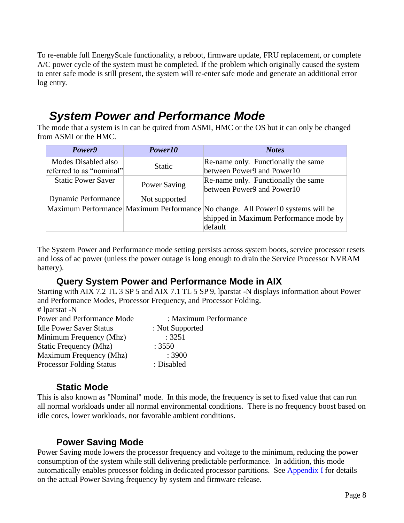To re-enable full EnergyScale functionality, a reboot, firmware update, FRU replacement, or complete A/C power cycle of the system must be completed. If the problem which originally caused the system to enter safe mode is still present, the system will re-enter safe mode and generate an additional error log entry.

## *System Power and Performance Mode*

The mode that a system is in can be quired from ASMI, HMC or the OS but it can only be changed from ASMI or the HMC.

| Power9                                          | Power10             | <b>Notes</b>                                                                                                                        |
|-------------------------------------------------|---------------------|-------------------------------------------------------------------------------------------------------------------------------------|
| Modes Disabled also<br>referred to as "nominal" | <b>Static</b>       | Re-name only. Functionally the same<br>between Power9 and Power10                                                                   |
| <b>Static Power Saver</b>                       | <b>Power Saving</b> | Re-name only. Functionally the same<br>between Power9 and Power10                                                                   |
| <b>Dynamic Performance</b>                      | Not supported       |                                                                                                                                     |
|                                                 |                     | Maximum Performance Maximum Performance No change. All Power10 systems will be<br>shipped in Maximum Performance mode by<br>default |

The System Power and Performance mode setting persists across system boots, service processor resets and loss of ac power (unless the power outage is long enough to drain the Service Processor NVRAM battery).

#### **Query System Power and Performance Mode in AIX**

Starting with AIX 7.2 TL 3 SP 5 and AIX 7.1 TL 5 SP 9, lparstat -N displays information about Power and Performance Modes, Processor Frequency, and Processor Folding.  $at^{\text{max}}$ 

| # iparstat -N                   |                       |
|---------------------------------|-----------------------|
| Power and Performance Mode      | : Maximum Performance |
| <b>Idle Power Saver Status</b>  | : Not Supported       |
| Minimum Frequency (Mhz)         | : 3251                |
| Static Frequency (Mhz)          | : 3550                |
| Maximum Frequency (Mhz)         | :3900                 |
| <b>Processor Folding Status</b> | : Disabled            |

### **Static Mode**

This is also known as "Nominal" mode. In this mode, the frequency is set to fixed value that can run all normal workloads under all normal environmental conditions. There is no frequency boost based on idle cores, lower workloads, nor favorable ambient conditions.

### **Power Saving Mode**

Power Saving mode lowers the processor frequency and voltage to the minimum, reducing the power consumption of the system while still delivering predictable performance. In addition, this mode automatically enables processor folding in dedicated processor partitions. See [Appendix I](#page-13-0) for details on the actual Power Saving frequency by system and firmware release.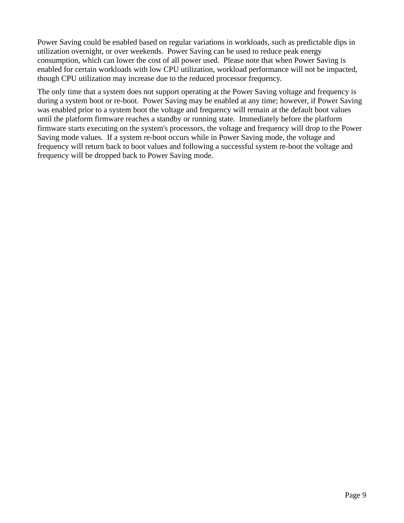Power Saving could be enabled based on regular variations in workloads, such as predictable dips in utilization overnight, or over weekends. Power Saving can be used to reduce peak energy consumption, which can lower the cost of all power used. Please note that when Power Saving is enabled for certain workloads with low CPU utilization, workload performance will not be impacted, though CPU utilization may increase due to the reduced processor frequency.

The only time that a system does not support operating at the Power Saving voltage and frequency is during a system boot or re-boot. Power Saving may be enabled at any time; however, if Power Saving was enabled prior to a system boot the voltage and frequency will remain at the default boot values until the platform firmware reaches a standby or running state. Immediately before the platform firmware starts executing on the system's processors, the voltage and frequency will drop to the Power Saving mode values. If a system re-boot occurs while in Power Saving mode, the voltage and frequency will return back to boot values and following a successful system re-boot the voltage and frequency will be dropped back to Power Saving mode.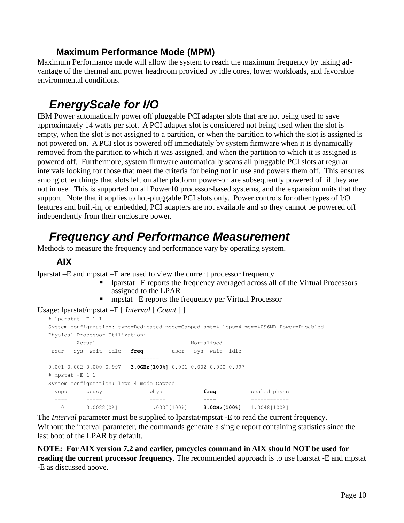### **Maximum Performance Mode (MPM)**

Maximum Performance mode will allow the system to reach the maximum frequency by taking advantage of the thermal and power headroom provided by idle cores, lower workloads, and favorable environmental conditions.

## *EnergyScale for I/O*

IBM Power automatically power off pluggable PCI adapter slots that are not being used to save approximately 14 watts per slot. A PCI adapter slot is considered not being used when the slot is empty, when the slot is not assigned to a partition, or when the partition to which the slot is assigned is not powered on. A PCI slot is powered off immediately by system firmware when it is dynamically removed from the partition to which it was assigned, and when the partition to which it is assigned is powered off. Furthermore, system firmware automatically scans all pluggable PCI slots at regular intervals looking for those that meet the criteria for being not in use and powers them off. This ensures among other things that slots left on after platform power-on are subsequently powered off if they are not in use. This is supported on all Power10 processor-based systems, and the expansion units that they support. Note that it applies to hot-pluggable PCI slots only. Power controls for other types of I/O features and built-in, or embedded, PCI adapters are not available and so they cannot be powered off independently from their enclosure power.

## *Frequency and Performance Measurement*

Methods to measure the frequency and performance vary by operating system.

#### **AIX**

lparstat –E and mpstat –E are used to view the current processor frequency

- lparstat –E reports the frequency averaged across all of the Virtual Processors assigned to the LPAR
- **EXECUTE:** mpstat –E reports the frequency per Virtual Processor

Usage: lparstat/mpstat –E [ *Interval* [ *Count* ] ]

| # lparstat -E 1 1   |       |                                                                                         |       |                     |      |                                                                    |  |
|---------------------|-------|-----------------------------------------------------------------------------------------|-------|---------------------|------|--------------------------------------------------------------------|--|
|                     |       | System configuration: type=Dedicated mode=Capped smt=4 lcpu=4 mem=4096MB Power=Disabled |       |                     |      |                                                                    |  |
|                     |       | Physical Processor Utilization:                                                         |       |                     |      |                                                                    |  |
| $-----Actual-----$  |       |                                                                                         |       | $---Normalised----$ |      |                                                                    |  |
| user sys wait idle  |       | freq                                                                                    |       | user sys wait idle  |      |                                                                    |  |
|                     |       |                                                                                         |       |                     |      |                                                                    |  |
|                     |       | $0.001$ 0.002 0.000 0.997 3.0GHz[100%] 0.001 0.002 0.000 0.997                          |       |                     |      |                                                                    |  |
| $#$ mpstat $-E$ 1 1 |       |                                                                                         |       |                     |      |                                                                    |  |
|                     |       | System configuration: lcpu=4 mode=Capped                                                |       |                     |      |                                                                    |  |
| vcpu                | pbusy |                                                                                         | physc |                     | freq | scaled physc                                                       |  |
|                     |       |                                                                                         |       |                     |      |                                                                    |  |
| 0                   |       | $0.002210$ % 1.00051100 % 1                                                             |       |                     |      | $3.0$ GHz $[100$ <sup>§</sup> $]$ $1.0048$ $[100$ <sup>§</sup> $]$ |  |

The *Interval* parameter must be supplied to lparstat/mpstat -E to read the current frequency. Without the interval parameter, the commands generate a single report containing statistics since the last boot of the LPAR by default.

**NOTE: For AIX version 7.2 and earlier, pmcycles command in AIX should NOT be used for reading the current processor frequency**. The recommended approach is to use lparstat -E and mpstat -E as discussed above.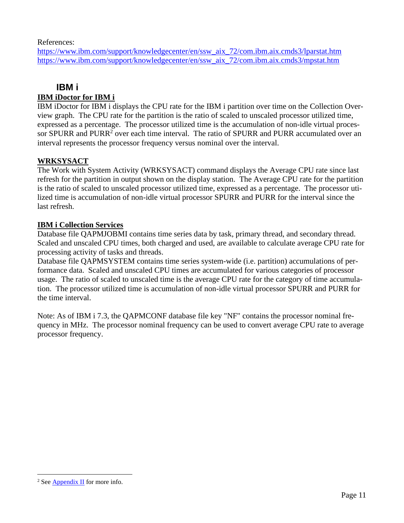References:

[https://www.ibm.com/support/knowledgecenter/en/ssw\\_aix\\_72/com.ibm.aix.cmds3/lparstat.htm](https://www.ibm.com/support/knowledgecenter/en/ssw_aix_72/com.ibm.aix.cmds3/lparstat.htm) [https://www.ibm.com/support/knowledgecenter/en/ssw\\_aix\\_72/com.ibm.aix.cmds3/mpstat.htm](https://www.ibm.com/support/knowledgecenter/en/ssw_aix_72/com.ibm.aix.cmds3/mpstat.htm)

#### **IBM i**

#### **IBM iDoctor for IBM i**

IBM iDoctor for IBM i displays the CPU rate for the IBM i partition over time on the Collection Overview graph. The CPU rate for the partition is the ratio of scaled to unscaled processor utilized time, expressed as a percentage. The processor utilized time is the accumulation of non-idle virtual processor SPURR and PURR<sup>2</sup> over each time interval. The ratio of SPURR and PURR accumulated over an interval represents the processor frequency versus nominal over the interval.

#### **WRKSYSACT**

The Work with System Activity (WRKSYSACT) command displays the Average CPU rate since last refresh for the partition in output shown on the display station. The Average CPU rate for the partition is the ratio of scaled to unscaled processor utilized time, expressed as a percentage. The processor utilized time is accumulation of non-idle virtual processor SPURR and PURR for the interval since the last refresh.

#### **IBM i Collection Services**

Database file QAPMJOBMI contains time series data by task, primary thread, and secondary thread. Scaled and unscaled CPU times, both charged and used, are available to calculate average CPU rate for processing activity of tasks and threads.

Database file QAPMSYSTEM contains time series system-wide (i.e. partition) accumulations of performance data. Scaled and unscaled CPU times are accumulated for various categories of processor usage. The ratio of scaled to unscaled time is the average CPU rate for the category of time accumulation. The processor utilized time is accumulation of non-idle virtual processor SPURR and PURR for the time interval.

Note: As of IBM i 7.3, the QAPMCONF database file key "NF" contains the processor nominal frequency in MHz. The processor nominal frequency can be used to convert average CPU rate to average processor frequency.

<sup>&</sup>lt;sup>2</sup> See  $\Delta$ ppendix II for more info.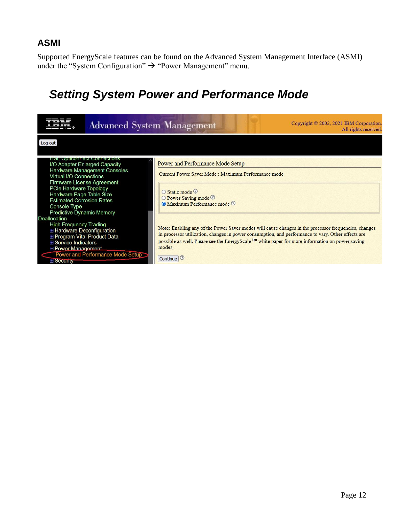### **ASMI**

Supported EnergyScale features can be found on the Advanced System Management Interface (ASMI) under the "System Configuration"  $\rightarrow$  "Power Management" menu.

## *Setting System Power and Performance Mode*

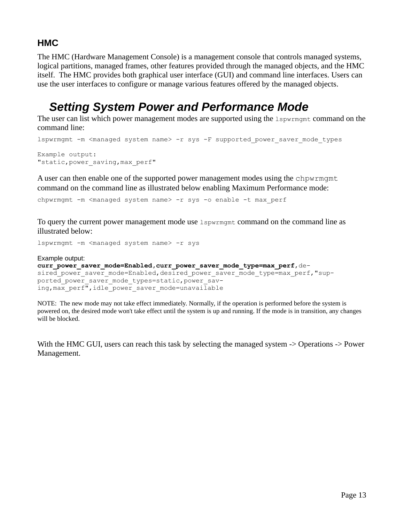## **HMC**

The HMC (Hardware Management Console) is a management console that controls managed systems, logical partitions, managed frames, other features provided through the managed objects, and the HMC itself. The HMC provides both graphical user interface (GUI) and command line interfaces. Users can use the user interfaces to configure or manage various features offered by the managed objects.

## *Setting System Power and Performance Mode*

The user can list which power management modes are supported using the 1spwrmgmt command on the command line:

```
lspwrmgmt -m <managed system name> -r sys -F supported power saver mode types
Example output:
"static, power saving, max perf"
```
A user can then enable one of the supported power management modes using the chpwrmgmt command on the command line as illustrated below enabling Maximum Performance mode:

chpwrmgmt -m <managed system name> -r sys -o enable -t max perf

To query the current power management mode use 1spwrmgmt command on the command line as illustrated below:

lspwrmgmt -m <managed system name> -r sys

Example output: **curr\_power\_saver\_mode=Enabled,curr\_power\_saver\_mode\_type=max\_perf**,desired\_power\_saver\_mode=Enabled,desired power saver mode type=max perf,"supported power saver mode types=static, power saving, max perf", idle power saver mode=unavailable

NOTE: The new mode may not take effect immediately. Normally, if the operation is performed before the system is powered on, the desired mode won't take effect until the system is up and running. If the mode is in transition, any changes will be blocked.

With the HMC GUI, users can reach this task by selecting the managed system -> Operations -> Power Management.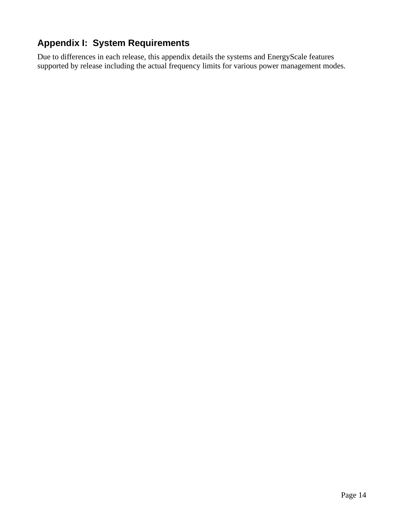## <span id="page-13-0"></span>**Appendix I: System Requirements**

Due to differences in each release, this appendix details the systems and EnergyScale features supported by release including the actual frequency limits for various power management modes.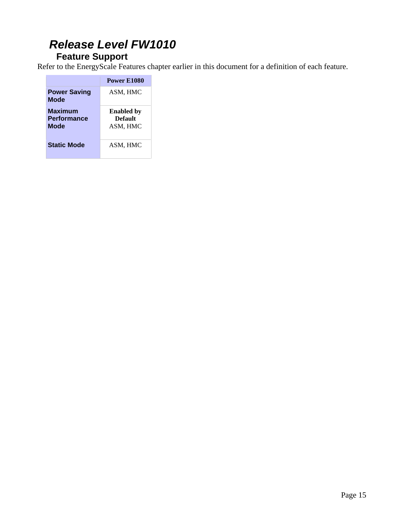## *Release Level FW1010*

### **Feature Support**

Refer to the EnergyScale Features chapter earlier in this document for a definition of each feature.

|                                                     | Power E1080                              |
|-----------------------------------------------------|------------------------------------------|
| <b>Power Saving</b><br>Mode                         | ASM, HMC                                 |
| <b>Maximum</b><br><b>Performance</b><br><b>Mode</b> | <b>Enabled</b> by<br>Default<br>ASM, HMC |
| <b>Static Mode</b>                                  | ASM, HMC                                 |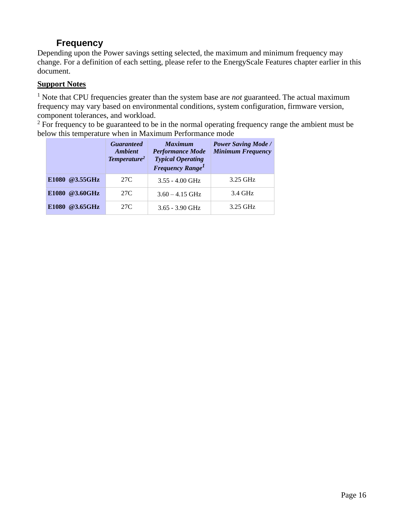### **Frequency**

Depending upon the Power savings setting selected, the maximum and minimum frequency may change. For a definition of each setting, please refer to the EnergyScale Features chapter earlier in this document.

#### **Support Notes**

<sup>1</sup> Note that CPU frequencies greater than the system base are *not* guaranteed. The actual maximum frequency may vary based on environmental conditions, system configuration, firmware version, component tolerances, and workload.

 $2 \text{ For frequency to be guaranteed to be in the normal operating frequency range the ambient must be }$ below this temperature when in Maximum Performance mode

|                                         | <b>Guaranteed</b><br><b>Ambient</b><br>Temperature <sup>2</sup> | <b>Maximum</b><br><b>Performance Mode</b><br><b>Typical Operating</b><br><b>Frequency Range<sup>1</sup></b> | <b>Power Saving Mode /</b><br><b>Minimum Frequency</b> |
|-----------------------------------------|-----------------------------------------------------------------|-------------------------------------------------------------------------------------------------------------|--------------------------------------------------------|
| E1080 @3.55GHz                          | 27C                                                             | $3.55 - 4.00$ GHz                                                                                           | 3.25 GHz                                               |
| @3.60GHz<br>E <sub>1080</sub>           | 27C                                                             | $3.60 - 4.15$ GHz                                                                                           | 3.4 GHz                                                |
| $@3.65 \text{GHz}$<br>E <sub>1080</sub> | 27C                                                             | $3.65 - 3.90$ GHz                                                                                           | 3.25 GHz                                               |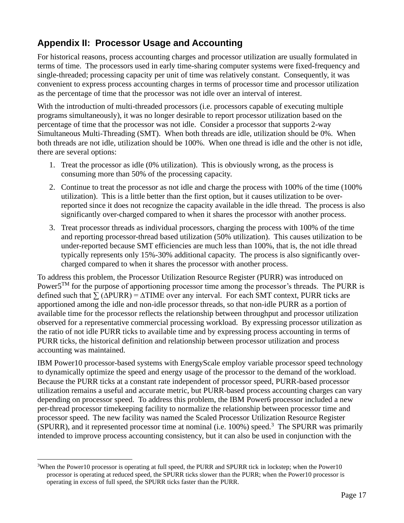## <span id="page-16-0"></span>**Appendix II: Processor Usage and Accounting**

For historical reasons, process accounting charges and processor utilization are usually formulated in terms of time. The processors used in early time-sharing computer systems were fixed-frequency and single-threaded; processing capacity per unit of time was relatively constant. Consequently, it was convenient to express process accounting charges in terms of processor time and processor utilization as the percentage of time that the processor was not idle over an interval of interest.

With the introduction of multi-threaded processors (i.e. processors capable of executing multiple programs simultaneously), it was no longer desirable to report processor utilization based on the percentage of time that the processor was not idle. Consider a processor that supports 2-way Simultaneous Multi-Threading (SMT). When both threads are idle, utilization should be 0%. When both threads are not idle, utilization should be 100%. When one thread is idle and the other is not idle, there are several options:

- 1. Treat the processor as idle (0% utilization). This is obviously wrong, as the process is consuming more than 50% of the processing capacity.
- 2. Continue to treat the processor as not idle and charge the process with 100% of the time (100% utilization). This is a little better than the first option, but it causes utilization to be overreported since it does not recognize the capacity available in the idle thread. The process is also significantly over-charged compared to when it shares the processor with another process.
- 3. Treat processor threads as individual processors, charging the process with 100% of the time and reporting processor-thread based utilization (50% utilization). This causes utilization to be under-reported because SMT efficiencies are much less than 100%, that is, the not idle thread typically represents only 15%-30% additional capacity. The process is also significantly overcharged compared to when it shares the processor with another process.

To address this problem, the Processor Utilization Resource Register (PURR) was introduced on Power $5^{TM}$  for the purpose of apportioning processor time among the processor's threads. The PURR is defined such that  $\sum (\triangle PUR) = \triangle TIME$  over any interval. For each SMT context, PURR ticks are apportioned among the idle and non-idle processor threads, so that non-idle PURR as a portion of available time for the processor reflects the relationship between throughput and processor utilization observed for a representative commercial processing workload. By expressing processor utilization as the ratio of not idle PURR ticks to available time and by expressing process accounting in terms of PURR ticks, the historical definition and relationship between processor utilization and process accounting was maintained.

IBM Power10 processor-based systems with EnergyScale employ variable processor speed technology to dynamically optimize the speed and energy usage of the processor to the demand of the workload. Because the PURR ticks at a constant rate independent of processor speed, PURR-based processor utilization remains a useful and accurate metric, but PURR-based process accounting charges can vary depending on processor speed. To address this problem, the IBM Power6 processor included a new per-thread processor timekeeping facility to normalize the relationship between processor time and processor speed. The new facility was named the Scaled Processor Utilization Resource Register  $(SPURR)$ , and it represented processor time at nominal (i.e. 100%) speed.<sup>3</sup> The SPURR was primarily intended to improve process accounting consistency, but it can also be used in conjunction with the

<sup>&</sup>lt;sup>3</sup>When the Power10 processor is operating at full speed, the PURR and SPURR tick in lockstep; when the Power10 processor is operating at reduced speed, the SPURR ticks slower than the PURR; when the Power10 processor is operating in excess of full speed, the SPURR ticks faster than the PURR.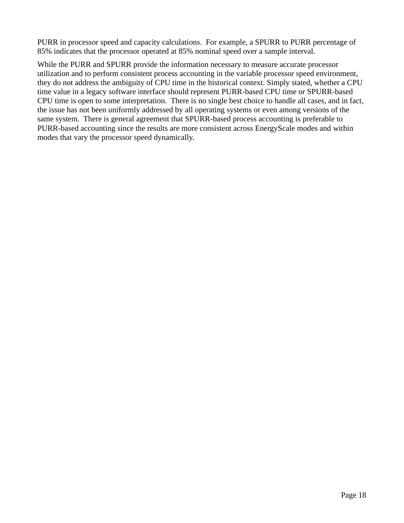PURR in processor speed and capacity calculations. For example, a SPURR to PURR percentage of 85% indicates that the processor operated at 85% nominal speed over a sample interval.

While the PURR and SPURR provide the information necessary to measure accurate processor utilization and to perform consistent process accounting in the variable processor speed environment, they do not address the ambiguity of CPU time in the historical context. Simply stated, whether a CPU time value in a legacy software interface should represent PURR-based CPU time or SPURR-based CPU time is open to some interpretation. There is no single best choice to handle all cases, and in fact, the issue has not been uniformly addressed by all operating systems or even among versions of the same system. There is general agreement that SPURR-based process accounting is preferable to PURR-based accounting since the results are more consistent across EnergyScale modes and within modes that vary the processor speed dynamically.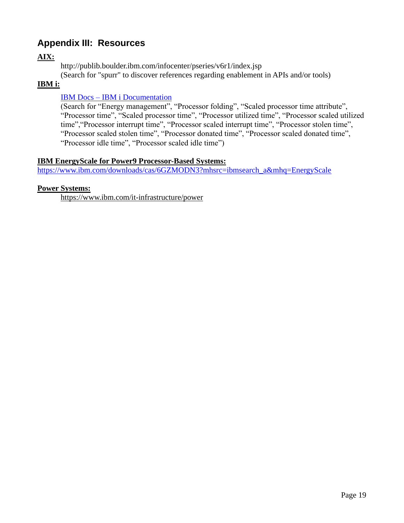### **Appendix III: Resources**

#### **AIX:**

<http://publib.boulder.ibm.com/infocenter/pseries/v6r1/index.jsp>

(Search for "spurr" to discover references regarding enablement in APIs and/or tools)

#### **IBM i:**

#### IBM Docs – [IBM i Documentation](https://www.ibm.com/docs/en/i)

(Search for "Energy management", "Processor folding", "Scaled processor time attribute", "Processor time", "Scaled processor time", "Processor utilized time", "Processor scaled utilized time","Processor interrupt time", "Processor scaled interrupt time", "Processor stolen time", "Processor scaled stolen time", "Processor donated time", "Processor scaled donated time", "Processor idle time", "Processor scaled idle time")

#### **IBM EnergyScale for Power9 Processor-Based Systems:**

[https://www.ibm.com/downloads/cas/6GZMODN3?mhsrc=ibmsearch\\_a&mhq=EnergyScale](https://www.ibm.com/downloads/cas/6GZMODN3?mhsrc=ibmsearch_a&mhq=EnergyScale)

#### **Power Systems:**

<https://www.ibm.com/it-infrastructure/power>